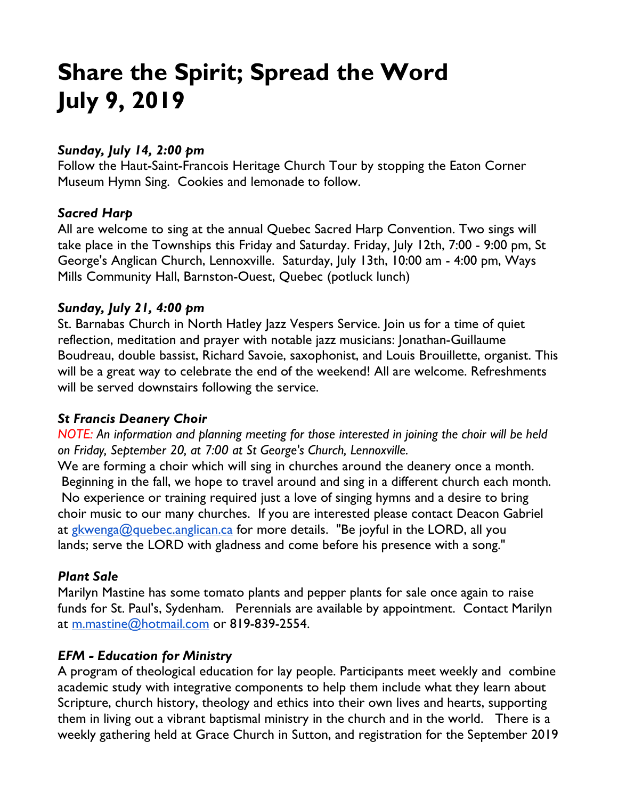# **Share the Spirit; Spread the Word July 9, 2019**

#### *Sunday, July 14, 2:00 pm*

Follow the Haut-Saint-Francois Heritage Church Tour by stopping the Eaton Corner Museum Hymn Sing. Cookies and lemonade to follow.

### *Sacred Harp*

All are welcome to sing at the annual Quebec Sacred Harp Convention. Two sings will take place in the Townships this Friday and Saturday. Friday, July 12th, 7:00 - 9:00 pm, St George's Anglican Church, Lennoxville. Saturday, July 13th, 10:00 am - 4:00 pm, Ways Mills Community Hall, Barnston-Ouest, Quebec (potluck lunch)

#### *Sunday, July 21, 4:00 pm*

St. Barnabas Church in North Hatley Jazz Vespers Service. Join us for a time of quiet reflection, meditation and prayer with notable jazz musicians: Jonathan-Guillaume Boudreau, double bassist, Richard Savoie, saxophonist, and Louis Brouillette, organist. This will be a great way to celebrate the end of the weekend! All are welcome. Refreshments will be served downstairs following the service.

#### *St Francis Deanery Choir*

*NOTE: An information and planning meeting for those interested in joining the choir will be held on Friday, September 20, at 7:00 at St George's Church, Lennoxville.*

We are forming a choir which will sing in churches around the deanery once a month. Beginning in the fall, we hope to travel around and sing in a different church each month. No experience or training required just a love of singing hymns and a desire to bring choir music to our many churches. If you are interested please contact Deacon Gabriel at gkwenga@quebec.anglican.ca for more details. "Be joyful in the LORD, all you lands; serve the LORD with gladness and come before his presence with a song."

#### *Plant Sale*

Marilyn Mastine has some tomato plants and pepper plants for sale once again to raise funds for St. Paul's, Sydenham. Perennials are available by appointment. Contact Marilyn at m.mastine@hotmail.com or 819-839-2554.

# *EFM - Education for Ministry*

A program of theological education for lay people. Participants meet weekly and combine academic study with integrative components to help them include what they learn about Scripture, church history, theology and ethics into their own lives and hearts, supporting them in living out a vibrant baptismal ministry in the church and in the world. There is a weekly gathering held at Grace Church in Sutton, and registration for the September 2019